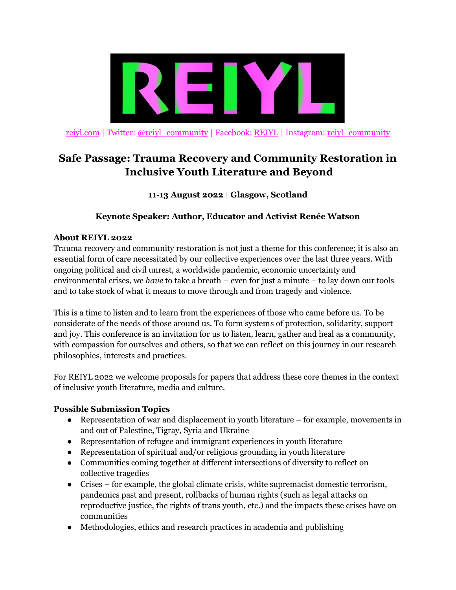

[reiyl.com](http://www.reiyl.com/) | Twitter: [@reiyl\\_community](https://twitter.com/reiyl_community) | Facebook: [REIYL](https://www.facebook.com/REIYL/) | Instagram: [reiyl\\_community](https://www.instagram.com/reiyl_community/)

# **Safe Passage: Trauma Recovery and Community Restoration in Inclusive Youth Literature and Beyond**

**11-13 August 2022** | **Glasgow, Scotland**

### **Keynote Speaker: Author, Educator and Activist Renée Watson**

#### **About REIYL 2022**

Trauma recovery and community restoration is not just a theme for this conference; it is also an essential form of care necessitated by our collective experiences over the last three years. With ongoing political and civil unrest, a worldwide pandemic, economic uncertainty and environmental crises, we *have* to take a breath – even for just a minute – to lay down our tools and to take stock of what it means to move through and from tragedy and violence.

This is a time to listen and to learn from the experiences of those who came before us. To be considerate of the needs of those around us. To form systems of protection, solidarity, support and joy. This conference is an invitation for us to listen, learn, gather and heal as a community, with compassion for ourselves and others, so that we can reflect on this journey in our research philosophies, interests and practices.

For REIYL 2022 we welcome proposals for papers that address these core themes in the context of inclusive youth literature, media and culture.

### **Possible Submission Topics**

- Representation of war and displacement in youth literature for example, movements in and out of Palestine, Tigray, Syria and Ukraine
- Representation of refugee and immigrant experiences in youth literature
- Representation of spiritual and/or religious grounding in youth literature
- Communities coming together at different intersections of diversity to reflect on collective tragedies
- Crises for example, the global climate crisis, white supremacist domestic terrorism, pandemics past and present, rollbacks of human rights (such as legal attacks on reproductive justice, the rights of trans youth, etc.) and the impacts these crises have on communities
- Methodologies, ethics and research practices in academia and publishing